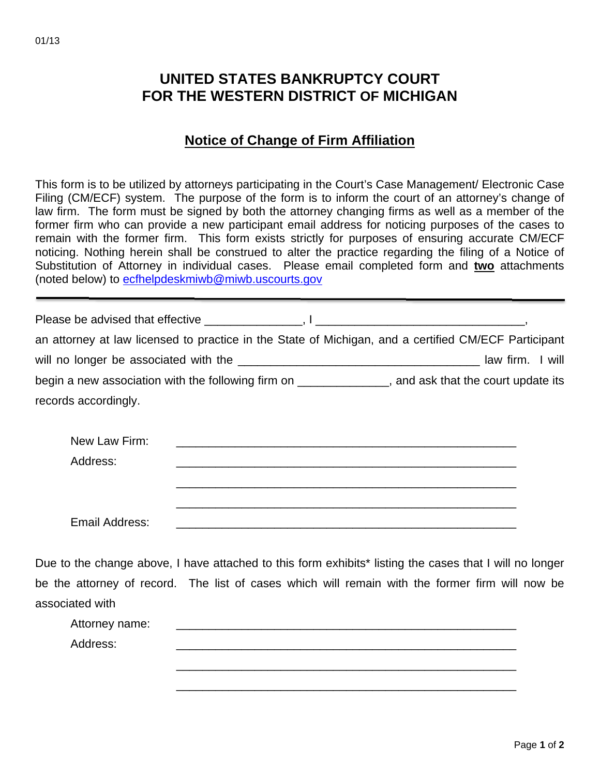## **UNITED STATES BANKRUPTCY COURT FOR THE WESTERN DISTRICT OF MICHIGAN**

## **Notice of Change of Firm Affiliation**

This form is to be utilized by attorneys participating in the Court's Case Management/ Electronic Case Filing (CM/ECF) system. The purpose of the form is to inform the court of an attorney's change of law firm. The form must be signed by both the attorney changing firms as well as a member of the former firm who can provide a new participant email address for noticing purposes of the cases to remain with the former firm. This form exists strictly for purposes of ensuring accurate CM/ECF noticing. Nothing herein shall be construed to alter the practice regarding the filing of a Notice of Substitution of Attorney in individual cases. Please email completed form and **two** attachments (noted below) to ecfhelpdeskmiwb@miwb.uscourts.gov

| an attorney at law licensed to practice in the State of Michigan, and a certified CM/ECF Participant |  |
|------------------------------------------------------------------------------------------------------|--|
|                                                                                                      |  |
| begin a new association with the following firm on ______________, and ask that the court update its |  |
| records accordingly.                                                                                 |  |
|                                                                                                      |  |
| New Law Firm:                                                                                        |  |
| Address:                                                                                             |  |
|                                                                                                      |  |
|                                                                                                      |  |
| Email Address:                                                                                       |  |

Due to the change above, I have attached to this form exhibits<sup>\*</sup> listing the cases that I will no longer be the attorney of record. The list of cases which will remain with the former firm will now be associated with

| Attorney name: |  |  |
|----------------|--|--|
| Address:       |  |  |
|                |  |  |

\_\_\_\_\_\_\_\_\_\_\_\_\_\_\_\_\_\_\_\_\_\_\_\_\_\_\_\_\_\_\_\_\_\_\_\_\_\_\_\_\_\_\_\_\_\_\_\_\_\_\_\_